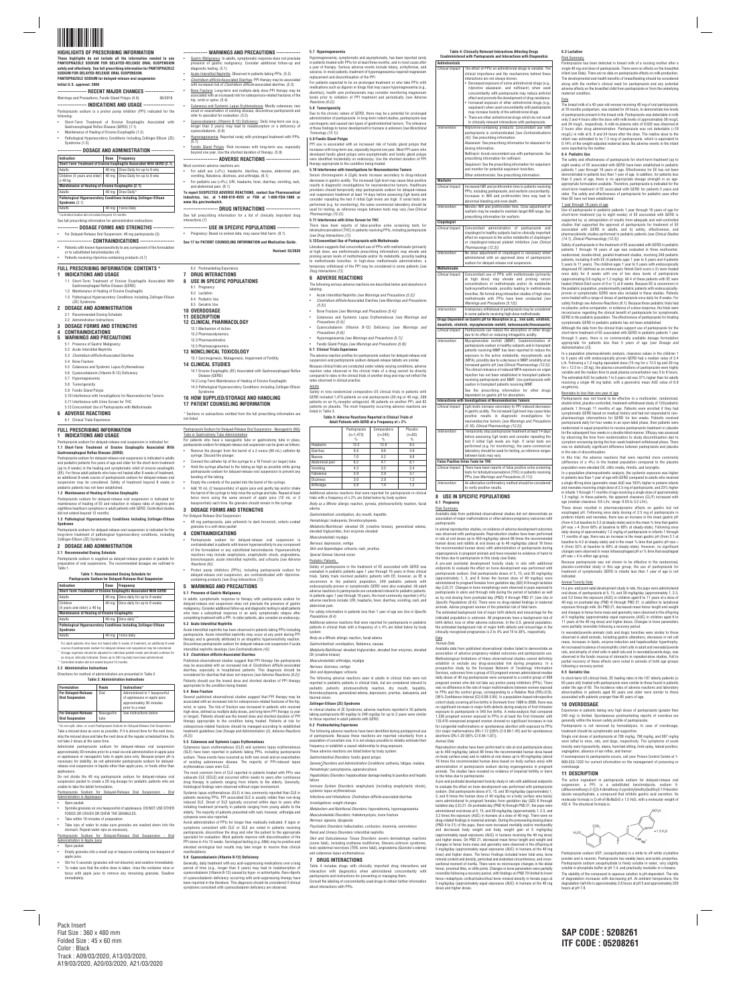

# **HIGHLIGHTS OF PRESCRIBING INFORMATION These highlights do not include all the information needed to use PANTOPRAZOLE SODIUM FOR DELAYED-RELEASE ORAL SUSPENSION safely and effectively. See full prescribing information for PANTOPRAZOLE**

**----------------- RECENT MAJOR CHANGES -----------------** Warnings and Precautions, Fundic Gland Polyps (5.9)

**SODIUM FOR DELAYED-RELEASE ORAL SUSPENSION. PANTOPRAZOLE SODIUM for delayed-release oral suspension Initial U.S. approval: 2000**

# **----------------- INDICATIONS AND USAGE ------------------**

Pantoprazole sodium is a proton pump inhibitor (PPI) indicated for the following:

- Short-Term Treatment of Erosive Esophagitis Associated with Gastroesophageal Reflux Disease (GERD) (1.1) • Maintenance of Healing of Erosive Esophagitis (1.2)
- Pathological Hypersecretory Conditions Including Zollinger-Ellison (ZE) Syndrome (1.3)

# **-------------- DOSAGE AND ADMINISTRATION -------------**

| Indication                                                         | Dose             | Frequency                                                              |  |  |
|--------------------------------------------------------------------|------------------|------------------------------------------------------------------------|--|--|
|                                                                    |                  | Short-Term Treatment of Erosive Esophagitis Associated With GERD (2.1) |  |  |
| Adults                                                             | 40 <sub>mg</sub> | Once Daily for up to 8 wks                                             |  |  |
| Children (5 years and older)                                       | 40 mg            | Once Daily for up to 8 wks                                             |  |  |
| $\geq 40$ kg                                                       |                  |                                                                        |  |  |
| Maintenance of Healing of Erosive Esophagitis (2.1)                |                  |                                                                        |  |  |
| Adults                                                             |                  | 40 mg   Once Daily*                                                    |  |  |
| Pathological Hypersecretory Conditions Including Zollinger-Ellison |                  |                                                                        |  |  |
| Syndrome $(2.1)$                                                   |                  |                                                                        |  |  |
| Adults                                                             |                  | <b>Twice Daily</b>                                                     |  |  |

Controlled studies did not extend beyond 12 months

See full prescribing information for administration instructi

- **------------ DOSAGE FORMS AND STRENGTHS ------------**
- For Delayed-Release Oral Suspension: 40 mg pantoprazole (3)
- **-------------------- CONTRAINDICATIONS --------------------**
- Patients with known hypersensitivity to any component of the formulation or to substituted benzimidazoles (4)
- Patients receiving rilpivirine-containing products (4,7)

**-------------- WARNINGS AND PRECAUTIONS --------------**

- 2.1 Recommended Dosing Schedule
- 2.2 Administration Instructions

- **5 WARNINGS AND PRECAUTIONS**
- 5.1 Presence of Gastric Malignancy
- 5.2 Acute Interstitial Nephritis
- 5.3 *Clostridium difficile*-Associated Diarrhea
- 5.4 Bone Fracture
- 5.5 Cutaneous and Systemic Lupus Erythematosus 5.6 Cyanocobalamin (Vitamin B-12) Deficiency
- 5.7 Hypomagnesemia
- 5.8 Tumorigenicity
- 5.9 Fundic Gland Polyps
- 5.10 Interference with Investigations for Neuroendocrine Tumors
- 5.11 Interference with Urine Screen for THC
- 5.12 Concomitant Use of Pantoprazole with Methotrexate
- **6 ADVERSE REACTIONS**
- 6.1 Clinical Trials Experienc
- Gastric Malignancy: In adults, symptomatic response does not preclude presence of gastric malignancy. Consider additional follow-up and diagnostic testing. (5.1) • Acute Interstitial Nephritis: Observed in patients taking PPIs. (5.2) • *Clostridium difficile-*Associated Diarrhea: PPI therapy may be associated
- with increased risk of *Clostridium difficile-*associated diarrhea. (5.3) • Bone Fracture: Long-term and multiple daily dose PPI therapy may be associated with an increased risk for osteoporosis-related fractures of the hip, wrist or spine. (5.4)
- Cutaneous and Systemic Lupus Erythematosus: Mostly cutaneous; new onset or exacerbation of existing disease; discontinue pantoprazole and refer to specialist for evaluation. (5.5)
- Cyanocobalamin (Vitamin B-12) Deficiency: Daily long-term use (e.g., longer than 3 years) may lead to malabsorption or a deficiency of cyanocobalamin. (5.6)
	- Hypomagnesemia: Reported rarely with prolonged treatment with PPIs. (5.7)
	- Fundic Gland Polyps: Risk increases with long-term use, especially beyond one year. Use the shortest duration of therapy. (5.9) **-------------------- ADVERSE REACTIONS --------------------**

Pantoprazole sodium for delayed-release oral suspension is indicated in adults and pediatric patients five years of age and older for the short-term treatment (up to 8 weeks) in the healing and symptomatic relief of erosive esophagitis (EE). For those adult patients who have not healed after 8 weeks of treatment, an additional 8-week course of pantoprazole sodium for delayed-release oral suspension may be considered. Safety of treatment beyond 8 weeks in pediatric patients has not been established

# Most common adverse reactions are:

- For adult use (>2%): headache, diarrhea, nausea, abdominal pain, vomiting, flatulence, dizziness, and arthralgia. (6.1) • For pediatric use (>4%): URI, headache, fever, diarrhea, vomiting, rash,
- and abdominal pain. (6.1) **To report SUSPECTED ADVERSE REACTIONS, contact Sun Pharmaceutical**
- **Industries, Inc. at 1-800-818-4555 or FDA at 1-800-FDA-1088 or www.fda.gov/medwatch.**

**-------------------- DRUG INTERACTIONS --------------------** See full prescribing information for a list of clinically important drug interactions (7)

- **-------------- USE IN SPECIFIC POPULATIONS -------------**
- Pregnancy: Based on animal data, may cause fetal harm. (8.1)

**See 17 for PATIENT COUNSELING INFORMATION and Medication Guide.**

**Revised: 02/2020**

\* For adult patients who have not healed after 8 weeks of treatment, an additional 8-week course of pantoprazole sodium for delayed-release oral suspension may be considered. \*\* Dosage regimens should be adjusted to individual patient needs and should continue for as long as clinically indicated. Doses up to 240 mg daily have been administer \*Controlled studies did not extend beyond 12 months

# **FULL PRESCRIBING INFORMATION: CONTENTS \* 1 INDICATIONS AND USAGE**

- 1.1 Short-Term Treatment of Erosive Esophagitis Associated With
- Gastroesophageal Reflux Disease (GERD) 1.2 Maintenance of Healing of Erosive Esophagitis
- 1.3 Pathological Hypersecretory Conditions Including Zollinger-Ellison

Directions for method of administration are presented in Table 2. **Table 2: Administration Inst** 

# (ZE) Syndrome **2 DOSAGE AND ADMINISTRATION**

## **3 DOSAGE FORMS AND STRENGTHS 4 CONTRAINDICATIONS**

Do not divide the 40 mg pantoprazole sodium for delayed-release oral suspension packet to create a 20 mg dosage for pediatric patients who are unable to take the tablet formulation

# 6.2 Postmarketing Experience **7 DRUG INTERACTIONS**

- Open packet.
- Empty granules into a small cup or teaspoon containing one teaspoon of apple juice.
- Stir for 5 seconds (granules will not dissolve) and swallow immediately.
- To make sure that the entire dose is taken, rinse the container once or twice with apple juice to remove any remaining granules. Swallow **immediately**
- **8 USE IN SPECIFIC POPULATIONS**
	- 8.1 Pregnancy 8.2 Lactation

8.4 Pediatric Use

- 8.5 Geriatric Use
- **10 OVERDOSAGE**
- **11 DESCRIPTION 12 CLINICAL PHARMACOLOGY**
- 12.1 Mechanism of Action 12.2 Pharmacodynamics

# 12.3 Pharmacokinetics

12.5 Pharmacogenomics

# **13 NONCLINICAL TOXICOLOGY** 13.1 Carcinogenesis, Mutagenesis, Impairment of Fertility **14 CLINICAL STUDIES**

- 14.1 Erosive Esophagitis (EE) Associated with Gastroesophageal Reflux Disease (GERD)
- 14.2 Long-Term Maintenance of Healing of Erosive Esophagitis 14.3 Pathological Hypersecretory Conditions Including Zollinger-Ellison

# Syndrome **16 HOW SUPPLIED/STORAGE AND HANDLING**

# **17 PATIENT COUNSELING INFORMATION**

\* Sections or subsections omitted from the full prescribing information are not listed

# **FULL PRESCRIBING INFORMATION 1 INDICATIONS AND USAGE**

# Pantoprazole sodium for delayed-release oral suspension is indicated for:

**1.1 Short-Term Treatment of Erosive Esophagitis Associated With Gastroesophageal Reflux Disease (GERD)**

# **1.2 Maintenance of Healing of Erosive Esophagitis**

Pantoprazole sodium for delayed-release oral suspension is indicated for maintenance of healing of EE and reduction in relapse rates of daytime and nighttime heartburn symptoms in adult patients with GERD. Controlled studies did not extend beyond 12 months.

# **1.3 Pathological Hypersecretory Conditions Including Zollinger-Ellison Syndrome**

Pantoprazole sodium for delayed-release oral suspension is indicated for the long-term treatment of pathological hypersecretory conditions, including Zollinger-Ellison (ZE) Syndrome.

# **2 DOSAGE AND ADMINISTRATION**

**2.1 Recommended Dosing Schedule** Pantoprazole sodium is supplied as delayed-release granules in packets for preparation of oral suspensions. The recommended dosages are outlined in Table 1.

# **Table 1: Recommended Dosing Schedule for**

# **Pantoprazole Sodium for Delayed-Release Oral Suspension**

Avoid administration of PPIs for longer than medically indicated. If signs or symptoms consistent with CLE or SLE are noted in patients receiving pantoprazole, discontinue the drug and refer the patient to the appropriate specialist for evaluation. Most patients improve with discontinuation of the PPI alone in 4 to 12 weeks. Serological testing (e.g. ANA) may be positive and elevated serological test results may take longer to resolve than clinical ifestations.

| <b>Indication</b>                                                  | Dose  | <b>Frequency</b>             |  |  |
|--------------------------------------------------------------------|-------|------------------------------|--|--|
| Short-Term Treatment of Erosive Esophagitis Associated With GERD   |       |                              |  |  |
| Once daily for up to 8 weeks<br>40 mg<br>Adults                    |       |                              |  |  |
| Children                                                           | 40 ma | Once daily for up to 8 weeks |  |  |
| (5 years and older) $\geq$ 40 kg                                   |       |                              |  |  |
| <b>Maintenance of Healing of Erosive Esophagitis</b>               |       |                              |  |  |
| Adults                                                             | 40 ma | Once daily                   |  |  |
| Pathological Hypersecretory Conditions Including Zollinger-Ellison |       |                              |  |  |
| Syndrome                                                           |       |                              |  |  |
| Adults                                                             | 40 mg | Twice daily                  |  |  |

# **2.2 Administration Instructions**

| <b>Formulation</b>                                   | Route               | Instructions*                                                                                                |  |  |
|------------------------------------------------------|---------------------|--------------------------------------------------------------------------------------------------------------|--|--|
| <b>For Delayed-Release</b><br><b>Oral Suspension</b> | Oral                | Administered in 1 teaspoonful<br>of applesauce or apple juice<br>approximately 30 minutes<br>prior to a meal |  |  |
| <b>For Delayed-Release</b><br><b>Oral Suspension</b> | Nasogastric<br>tube | See instructions below                                                                                       |  |  |

\* Do not split, chew, or crush Pantoprazole Sodium for Delayed-Release Oral Suspension. Take a missed dose as soon as possible. If it is almost time for the next dose, skip the missed dose and take the next dose at the regular scheduled time. Do not take 2 doses at the same time.

Administer pantoprazole sodium for delayed-release oral suspension approximately 30 minutes prior to a meal via oral administration in apple juice or applesauce or nasogastric tube in apple juice only. Because proper pH is necessary for stability, do not administer pantoprazole sodium for delayedrelease oral suspension in liquids other than apple juice, or foods other than applesauce.

Pantoprazole Sodium for Delayed-Release Oral Suspension - Oral Administration in Applesauce

• Open packet.

- Sprinkle granules on one teaspoonful of applesauce. DO NOT USE OTHER FOODS OR CRUSH OR CHEW THE GRANULES.
- Take within 10 minutes of preparation.
- Take sips of water to make sure granules are washed down into the stomach. Repeat water sips as necessary.

Pantoprazole Sodium for Delayed-Release Oral Suspension - Oral Administration in Apple Juice

#### Pantoprazole Sodium for Delayed-Release Oral Suspension - Nasogastric (NG) Tube or Gastrostomy Tube Administration

*Musculoskeletal:* myalgia *Nervous:* depression, vertigo

*Special Senses:* blurred vision Pediatric Patients

- For patients who have a nasogastric tube or gastrostomy tube in place, pantoprazole sodium for delayed-release oral suspension can be given as follows: • Remove the plunger from the barrel of a 2 ounce (60 mL) catheter-tip
- syringe. Discard the plunger. • Connect the catheter tip of the syringe to a 16 French (or larger) tube. • Hold the syringe attached to the tubing as high as possible while giving
- pantoprazole sodium for delayed-release oral suspension to prevent any bending of the tubing. • Empty the contents of the packet into the barrel of the syringe.
- Add 10 mL (2 teaspoonfuls) of apple juice and gently tap and/or shake the barrel of the syringe to help rinse the syringe and tube. Repeat at least twice more using the same amount of apple juice (10 mL or 2 teaspoonfuls) each time. No granules should remain in the syringe.

# **3 DOSAGE FORMS AND STRENGTHS**

- For Delayed-Release Oral Suspension: • 40 mg pantoprazole, pale yellowish to dark brownish, enteric-coated granules in a unit-dose packet
- **4 CONTRAINDICATIONS**
	- Pantoprazole sodium for delayed-release oral suspension is contraindicated in patients with known hypersensitivity to any component of the formulation or any substituted benzimidazole. Hypersensitivity reactions may include anaphylaxis, anaphylactic shock, angioedema, bronchospasm, acute interstitial nephritis, and urticaria *[see Adverse Reactions (6)].*
	- Proton pump inhibitors (PPIs), including pantoprazole sodium for delayed-release oral suspension, are contraindicated with rilpivirinecontaining products *[see Drug Interactions (7)].*

**5 WARNINGS AND PRECAUTIONS 5.1 Presence of Gastric Malignancy**

In adults, symptomatic response to therapy with pantoprazole sodium for delayed-release oral suspension does not preclude the presence of gastric malignancy. Consider additional follow-up and diagnostic testing in adult patients who have a suboptimal response or an early symptomatic relapse after completing treatment with a PPI. In older patients, also consider an endoscopy. **5.2 Acute Interstitial Nephritis**

Acute interstitial nephritis has been observed in patients taking PPIs including pantoprazole. Acute interstitial nephritis may occur at any point during PPI therapy and is generally attributed to an idiopathic hypersensitivity reaction. Discontinue pantoprazole sodium for delayed-release oral suspension if acute interstitial nephritis develops *[see Contraindications (4)].*

Decreased exposure of some antiretroviral drugs (e.g., rilpivirine atazanavir, and nelfinavir) when use concomitantly with pantoprazole may reduce antiviral effect and promote the development of drug resistance Increased exposure of other antiretroviral drugs (e.g. saquinavir) when used concomitantly with pantopraz may increase toxicity of the antiretroviral drugs. There are other antiretroviral drugs which do not result in clinically relevant interactions with pantoprazole. *Intervention:* The *Products:* Concomitant use with pantoprazole is contraindicated *[see Contraindications*

Atazanavir: See prescribing information for atazanavir f

**5.3** *Clostridium difficile***-Associated Diarrhea**

Published observational studies suggest that PPI therapy like pantoprazole may be associated with an increased risk of *Clostridium difficile* associated diarrhea, especially in hospitalized patients. This diagnosis should be considered for diarrhea that does not improve *[see Adverse Reactions (6.2)].* Patients should use the lowest dose and shortest duration of PPI therapy

appropriate to the condition being treated.

#### **5.4 Bone Fracture**

**Concomitant administration of pantoprazole a** concernation commissions of participation and clinically important completes had no clinically important effect on exposure to the active metabolite of clopidogre or clopidogrel-induced platelet inhibition *[see Clinical*

*No dose adjustment of clopidogrel is necessary when* administered with an approved dose of pantopraz sodium for delayed-release oral suspension

at high dose) may elevate and prolong serur oncentrations of methotrexate and/or its metabolit hydroxymethotrexate, possibly leading to methotrexate oxicities. No formal drug interaction studies of high-dose methotrexate with PPIs have been conducted *[see*

*Warnings and Precautions (5.12)]*. **A temporary withdrawal of pantoprazole may be consider** in some patients receiving high-dose methotrexate. **Drugs Dependent on Gastric pH for Absorption (e.g., iron salts, erlotinib, dasatinib, nilotinib, mycophenolate mofetil, ketoconazole/itraconazole)** *Inical Impact:* Pantoprazole can reduce the absorption of other drug due to its effect on reducing intragastric acidity. *Intervention:* Mycophenolate mofetil (MMF): Coadministration

Several published observational studies suggest that PPI therapy may be associated with an increased risk for osteoporosis-related fractures of the hip, wrist, or spine. The risk of fracture was increased in patients who received high-dose, defined as multiple daily doses, and long-term PPI therapy (a year or longer). Patients should use the lowest dose and shortest duration of PPI therapy appropriate to the condition being treated. Patients at risk for osteoporosis-related fractures should be managed according to established treatment guidelines *[see Dosage and Administration (2), Adverse Reactions (6.2)].*

pantoprazole sodium in healthy subjects and in transplant patients receiving MMF has been reported to reduce th exposure to the active metabolite, mycophenolic aci (MPA), possibly due to a decrease in MMF solubility at a increased gastric pH *[see Clinical Pharmacology (12.3)]*. The clinical relevance of reduced MPA exposure on organ rejection has not been established in transplant patien receiving pantoprazole and MMF. Use pantoprazole with caution in transplant patients receiving MMF. See the prescribing information for other drug dependent on gastric pH for absorption. **Interactions with Investigations of Neuroendocrine Tumors** *inical Impact:* CgA levels increase secondary to PPI-induced decrea

in gastric acidity. The increased CgA level may cause false positive results in diagnostic investigations for **neuroendocrine tumors** *[see Warnings and Precaution]* 

#### **5.5 Cutaneous and Systemic Lupus Erythematosus**

Cutaneous lupus erythematosus (CLE) and systemic lupus erythematosus (SLE) have been reported in patients taking PPIs, including pantoprazole sodium. These events have occurred as both new onset and an exacerbation of existing autoimmune disease. The majority of PPI-induced lupus erythematous cases were CLE.

The most common form of CLE reported in patients treated with PPIs was subacute CLE (SCLE) and occurred within weeks to years after continuous drug therapy in patients ranging from infants to the elderly. Generally, histological findings were observed without organ involvement.

ests for tetrahydrocannabinol (THC) in patients receivi PPIs *[see Warnings and Precautions (5.11)]*. *Intervention:* An alternative confirmatory method should be considered to verify positive results.

Systemic lupus erythematosus (SLE) is less commonly reported than CLE in patients receiving PPIs. PPI associated SLE is usually milder than non-drug induced SLE. Onset of SLE typically occurred within days to years after initiating treatment primarily in patients ranging from young adults to the elderly. The majority of patients presented with rash; however, arthralgia and cytopenia were also reported.

### **5.6 Cyanocobalamin (Vitamin B-12) Deficiency**

Generally, daily treatment with any acid-suppressing medications over a long period of time (e.g., longer than 3 years) may lead to malabsorption of cyanocobalamin (Vitamin B-12) caused by hypo- or achlorhydria. Rare reports of cyanocobalamin deficiency occurring with acid-suppressing therapy have been reported in the literature. This diagnosis should be considered if clinical symptoms consistent with cyanocobalamin deficiency are observed.

### **5.7 Hypomagnesemia**

Hypomagnesemia, symptomatic and asymptomatic, has been reported rarely in patients treated with PPIs for at least three months, and in most cases after year of therapy. Serious adverse events include tetany, arrhythmias, and seizures. In most patients, treatment of hypomagnesemia required magnesium replacement and discontinuation of the PPI.

For patients expected to be on prolonged treatment or who take PPIs with medications such as digoxin or drugs that may cause hypomagnesemia (e.g., diuretics), health care professionals may consider monitoring magnesium levels prior to initiation of PPI treatment and periodically *[see Adverse Reactions (6.2)]*.

# **5.8 Tumorigenicity**

Due to the chronic nature of GERD, there may be a potential for prolonged administration of pantoprazole. In long-term rodent studies, pantoprazole was carcinogenic and caused rare types of gastrointestinal tumors. The relevance of these findings to tumor development in humans is unknown *[see Nonclinical*

*Toxicology (13.1)]*. **5.9 Fundic Gland Polyps**

PPI use is associated with an increased risk of fundic gland polyps that increases with long-term use, especially beyond one year. Most PPI users who developed fundic gland polyps were asymptomatic and fundic gland polyps were identified incidentally on endoscopy. Use the shortest duration of PPI

therapy appropriate to the condition being treated.

**5.10 Interference with Investigations for Neuroendocrine Tumors** Serum chromogranin A (CgA) levels increase secondary to drug-induced decreases in gastric acidity. The increased CgA level may cause false positive results in diagnostic investigations for neuroendocrine tumors. Healthcare providers should temporarily stop pantoprazole sodium for delayed-release oral suspension treatment at least 14 days before assessing CgA levels and consider repeating the test if initial CgA levels are high. If serial tests are performed (e.g. for monitoring), the same commercial laboratory should be used for testing, as reference ranges between tests may vary *[see Clinical*

were reported by the mother **8.4 Pediatric Use**

*Pharmacology (12.2)]*.

**5.11 Interference with Urine Screen for THC**

There have been reports of false-positive urine screening tests for tetrahydrocannabinol (THC) in patients receiving PPIs, including pantoprazole

*[see Drug Interactions (7)]*.

**5.12Concomitant Use of Pantoprazole with Methotrexate**

Literature suggests that concomitant use of PPIs with methotrexate (primarily at high dose; see methotrexate prescribing information) may elevate and prolong serum levels of methotrexate and/or its metabolite, possibly leading to methotrexate toxicities. In high-dose methotrexate administration, a temporary withdrawal of the PPI may be considered in some patients *[see*

*Drug Interactions (7)*]. **6 ADVERSE REACTIONS**

The following serious adverse reactions are described below and elsewhere in

labeling:

• Acute Interstitial Nephritis *[see Warnings and Precautions (5.2)]* • *Clostridium difficile-*Associated Diarrhea *[see Warnings and Precautions*

*(5.3)]*

• Bone Fracture *[see Warnings and Precautions (5.4)]*

• Cutaneous and Systemic Lupus Erythematosus *[see Warnings and*

*Precautions (5.5)]*

• Cyanocobalamin (Vitamin B-12) Deficiency *[see Warnings and*

*Precautions (5.6)]*

• Hypomagnesemia *[see Warnings and Precautions (5.7)]* • Fundic Gland Polyps *[see Warnings and Precautions (5.9)]*

**6.1 Clinical Trials Experience**

The adverse reaction profiles for pantoprazole sodium for delayed-release oral suspension and pantoprazole sodium delayed-release tablets are similar. Because clinical trials are conducted under widely varying conditions, adverse reaction rates observed in the clinical trials of a drug cannot be directly compared to rates in the clinical trials of another drug and may not reflect the

rates observed in clinical practice.

Adults

Safety in nine randomized comparative US clinical trials in patients with GERD included 1,473 patients on oral pantoprazole (20 mg or 40 mg), 299 patients on an H<sub>2</sub>-receptor antagonist, 46 patients on another PPI, and 82 patients on placebo. The most frequently occurring adverse reactions are

listed in Table 3.

**Table 3: Adverse Reactions Reported in Clinical Trials of Adult Patients with GERD at a Frequency of > 2%** Pantoprazole Comparators Placebo

> These doses resulted in pharmacodynamic effects on gastric but not esophageal pH. Following once daily dosing of 2.5 mg of pantoprazole in preterm infants and neonates, there was an increase in the mean gastric pH from 4.3 at baseline to 5.2 at steady-state) and in the mean % time that gastric prior 1.3 at baseline to 5.2 at steady-state) and in the mean % time that gastric pH was > 4 (from 60% at baseline to 80% at steady-state). Following once daily dosing of approximately 1.2 mg/kg of pantoprazole in infants 1 through 11 months of age, there was an increase in the mean gastric pH (from 3.1 at baseline to 4.2 at steady-state) and in the mean % time that gastric pH was > 4 (from 32% at baseline to 60% at steady-state). However, no significant changes were observed in mean intraesophageal pH or % time that esophagea

 % % % Headache 12.2 12.8 8.5 Diarrhea 8.8 9.6 4.9 Nausea 7.0 5.2 9.8 Abdominal pain 6.2 4.1 6.1 Vomiting | 4.3 | 3.5 | 2.4 Flatulence 3.9 2.9 3.7 Dizziness 3.0 2.9 1.2 Arthralgia 2.8 1.4 1.2 Additional adverse reactions that were reported for pantoprazole in clinical trials with a frequency of  $\leq 2\%$  are listed below by body system: *Body as a Whole:* allergic reaction, pyrexia, photosensitivity reaction, facial

 $(n=1,473)$   $(n=345)$   $(n=82)$ 

edema

*Gastrointestinal:* constipation, dry mouth, hepatitis *Hematologic:* leukopenia, thrombocytopenia

*Metabolic/Nutritional:* elevated CK (creatine kinase), generalized edema,

elevated triglycerides, liver enzymes elevated

*Skin and Appendages:* urticaria, rash, pruritus

Safety of pantoprazole in the treatment of EE associated with GERD was evaluated in pediatric patients ages 1 year through 16 years in three clinical trials. Safety trials involved pediatric patients with EE; however, as EE is

uncommon in the pediatric population, 249 pediatric patients with endoscopically-proven or symptomatic GERD were also evaluated. All adult adverse reactions to pantoprazole are considered relevant to pediatric patients. In patients ages 1 year through 16 years, the most commonly reported (>4%) adverse reactions include: URI, headache, fever, diarrhea, vomiting, rash, and abdominal pain.

> In neonatal/juvenile animals (rats and dogs) toxicities were similar to those observed in adult animals, including gastric alterations, decreases in red cell mass, increases in lipids, enzyme induction and hepatocellular hypertrophy. An increased incidence of eosinophilic chief cells in adult and neonatal/juvenile rats, and atrophy of chief cells in adult rats and in neonatal/juvenile dogs, was observed in the fundic mucosa of stomachs in repeated-dose studies. Full to partial recovery of these effects were noted in animals of both age groups following a recovery period.

For safety information in patients less than 1 year of age see *Use in Specific Populations (8.4)*.

> In short-term US clinical trials, EE healing rates in the 107 elderly patients ( $\geq$ 65 years old) treated with pantoprazole were similar to those found in patients under the age of 65. The incidence rates of adverse reactions and laboratory abnormalities in patients aged 65 years and older were similar to those associated with patients younger than 65 years of age.

Additional adverse reactions that were reported for pantoprazole in pediatric patients in clinical trials with a frequency of  $\leq 4\%$  are listed below by body system:

> Pantoprazole is not removed by hemodialysis. In case of overdosage treatment should be symptomatic and supportive.

Single oral doses of pantoprazole at 709 mg/kg, 798 mg/kg, and 887 mg/kg were lethal to mice, rats, and dogs, respectively. The symptoms of acute toxicity were hypoactivity, ataxia, hunched sitting, limb-splay, lateral position, segregation, absence of ear reflex, and tremor.

*Body as a Whole:* allergic reaction, facial edema

*Gastrointestinal:* constipation, flatulence, nausea

*Metabolic/Nutritional:* elevated triglycerides, elevated liver enzymes, elevated CK (creatine kinase)

*Musculoskeletal:* arthralgia, myalgia *Nervous:* dizziness, vertigo

*Skin and Appendages:* urticaria

The following adverse reactions seen in adults in clinical trials were not reported in pediatric patients in clinical trials, but are considered relevant to pediatric patients: photosensitivity reaction, dry mouth, hepatitis, thrombocytopenia, generalized edema, depression, pruritus, leukopenia, and blurred vision.

#### **Zollinger-Ellison (ZE) Syndrome**

In clinical studies of ZE Syndrome, adverse reactions reported in 35 patients taking pantoprazole 80 mg/day to 240 mg/day for up to 2 years were similar to those reported in adult patients with GERD.

# **6.2 Postmarketing Experience**

The following adverse reactions have been identified during postapproval use of pantoprazole. Because these reactions are reported voluntarily from a population of uncertain size, it is not always possible to reliably estimate their frequency or establish a causal relationship to drug exposure. These adverse reactions are listed below by body system:

*Gastrointestinal Disorders:* fundic gland polyps

*General Disorders and Administration Conditions:* asthenia, fatigue, malaise *Hematologic:* pancytopenia, agranulocytosis

*Hepatobiliary Disorders:* hepatocellular damage leading to jaundice and hepatic failure

*Immune System Disorders:* anaphylaxis (including anaphylactic shock), systemic lupus erythematosus

*Infections and Infestations: Clostridium difficile* associated diarrhea *Investigations:* weight changes

*Metabolism and Nutritional Disorders:* hyponatremia, hypomagnesemia *Musculoskeletal Disorders:* rhabdomyolysis, bone fracture

*Nervous:* ageusia, dysgeusia

*Psychiatric Disorders:* hallucination, confusion, insomnia, somnolence *Renal and Urinary Disorders:* interstitial nephritis

*Skin and Subcutaneous Tissue Disorders:* severe dermatologic reactions (some fatal), including erythema multiforme, Stevens-Johnson syndrome, toxic epidermal necrolysis (TEN, some fatal), angioedema (Quincke's edema) and cutaneous lupus erythematosus

# **7 DRUG INTERACTIONS**

Table 4 includes drugs with clinically important drug interactions and interaction with diagnostics when administered concomitantly with pantoprazole and instructions for preventing or managing them. Consult the labeling of concomitantly used drugs to obtain further information

about interactions with PPIs.

**Table 4: Clinically Relevant Interactions Affecting Drugs Coadministered with Pantoprazole and Interactions with Diagnostics**

**Antiretrovirals**

*Clinical Impact:* The effect of PPIs on antiretroviral drugs is variable. The

nteractions are not always known.

*(4)]*. See prescribing information.

dosing information.

clinical importance and the mechanisms behind thes

Nelfinavir: Avoid concomitant use with pantoprazole. See

*Intervention:* Monitor INR and prothrombin time. Dose adjustment warfarin may be needed to maintain target INR range. Se

prescribing information for nelfinavir. Saquinavir: See the prescribing information for saqu and monitor for potential saquinavir toxicities. Other antiretrovirals: See prescribing information.

*inical Impact:* I Increased INR and prothrombin time in patients receivi PPIs, including pantoprazole, and warfarin conco Increases in INR and prothrombin time may lead t

ormal bleeding and even death.

**Warfarin**

prescribing information for warfarin.

*Iinical Impact:* Concomitant use of PPIs with methotrexate (pring

**Clopidogrel**

*Pharmacology (12.3)]*.

**Methotrexate**

*(5.10), Clinical Pharmacology (12.2)]*.

*inical Impact:* There have been reports of false positive urine scree

*Intervention:* Temporarily stop pantoprazole treatment at least 14 days before assessing CgA levels and consider repeating the test if initial CgA levels are high. If serial tests are performed (e.g. for monitoring), the same commercial laboratory should be used for testing, as reference ranges

between tests may vary.

**False Positive Urine Tests for THC**

**8 USE IN SPECIFIC POPULATIONS**

**8.1 Pregnancy** Risk Summary

Available data from published observational studies did not demonstrate an association of major malformations or other adverse pregnancy outcomes with

pantoprazole.

In animal reproduction studies, no evidence of adverse development outcomes was observed with pantoprazole. Reproduction studies have been performed in rats at oral doses up to 450 mg/kg/day (about 88 times the recommended human dose) and rabbits at oral doses up to 40 mg/kg/day (about 16 times the recommended human dose) with administration of pantoprazole during organogenesis in pregnant animals and have revealed no evidence of harm to

the fetus due to pantoprazole in this study (see Data).

A pre-and postnatal development toxicity study in rats with additional endpoints to evaluate the effect on bone development was performed with pantoprazole sodium. Oral pantoprazole doses of 5, 15, and 30 mg/kg/day

(approximately 1, 3, and 6 times the human dose of 40 mg/day) were administered to pregnant females from gestation day (GD) 6 through lactation day (LD) 21. Changes in bone morphology were observed in pups exposed to pantoprazole in utero and through milk during the period of lactation as well as by oral dosing from postnatal day (PND) 4 through PND 21 *[see Use in Specific Populations (8.4)]*. There were no drug-related findings in maternal animals. Advise pregnant women of the potential risk of fetal harm.

The estimated background risk of major birth defects and miscarriage for the indicated population is unknown. All pregnancies have a background risk of birth defect, loss or other adverse outcomes. In the U.S. general population the estimated background risk of major birth defects and miscarriage in the clinically recognized pregnancies is 2 to 4% and 15 to 20%, respectively.

Data *Human Data*

> Available data from published observational studies failed to demonstrate an association of adverse pregnancy-related outcomes and pantoprazole use. Methodological limitations of these observational studies cannot definitely establish or exclude any drug-associated risk during pregnancy. In a prospective study by the European Network of Teratology Information Services, outcomes from a group of 53 pregnant women administered median daily doses of 40 mg pantoprazole were compared to a control group of 868 pregnant women who did not take any proton pump inhibitors (PPIs). There was no difference in the rate of major malformations between women exposed to PPIs and the control group, corresponding to a Relative Risk (RR)=0.55, [95% Confidence Interval (CI) 0.08-3.95]. In a population-based retrospective cohort study covering all live births in Denmark from 1996 to 2008, there was no significant increase in major birth defects during analysis of first trimester exposure to pantoprazole in 549 live births. A meta-analysis that compared 1,530 pregnant women exposed to PPIs in at least the first trimester with 133,410 unexposed pregnant women showed no significant increases in risk for congenital malformations or spontaneous abortion with exposure to PPIs (for major malformations OR=1.12 ([95% CI 0.86-1.45] and for spontaneous abortions OR=1.29 [95% CI 0.84-1.97]).

#### *Animal Data*

Reproduction studies have been performed in rats at oral pantoprazole doses up to 450 mg/kg/day (about 88 times the recommended human dose based on body surface area) and in rabbits at oral doses up to 40 mg/kg/day (about 16 times the recommended human dose based on body surface area) with histration of pantoprazole sodium during organogenesis in pregnant animals. The studies have revealed no evidence of impaired fertility or harm to the fetus due to pantoprazole.

A pre-and postnatal development toxicity study in rats with additional endpoints to evaluate the effect on bone development was performed with pantoprazole sodium. Oral pantoprazole doses of 5, 15, and 30 mg/kg/day (approximately 1, 3, and 6 times the human dose of 40 mg/day on a body surface area basis) were administered to pregnant females from gestation day (GD) 6 through lactation day (LD) 21. On postnatal day (PND 4) through PND 21, the pups were administered oral doses at 5, 15, and 30 mg/kg/day (approximately 1, 2.3, and 3.2 times the exposure (AUC) in humans at a dose of 40 mg). There were no drug-related findings in maternal animals. During the preweaning dosing phase (PND 4 to 21) of the pups, there were increased mortality and/or moribundity and decreased body weight and body weight gain at 5 mg/kg/day (approximately equal exposures (AUC) in humans receiving the 40 mg dose) and higher doses. On PND 21, decreased mean femur length and weight and changes in femur bone mass and geometry were observed in the offspring at 5 mg/kg/day (approximately equal exposures (AUC) in humans at the 40 mg dose) and higher doses. The femur findings included lower total area, bone mineral content and density, periosteal and endosteal circumference, and crosssectional moment of inertia. There were no microscopic changes in the distal femur, proximal tibia, or stifle joints. Changes in bone parameters were partially reversible following a recovery period, with findings on PND 70 limited to lower femur metaphysis cortical/subcortical bone mineral density in female pups at 5 mg/kg/day (approximately equal exposures (AUC) in humans at the 40 mg dose) and higher doses.

**8.2 Lactation** Risk Summary

Pantoprazole has been detected in breast milk of a nursing mother after a single 40 mg oral dose of pantoprazole. There were no effects on the breastfed infant (see Data). There are no data on pantoprazole effects on milk production. The developmental and health benefits of breastfeeding should be considered along with the mother's clinical need for pantoprazole and any potential adverse effects on the breastfed child from pantoprazole or from the underlying

maternal condition. Data

The breast milk of a 42-year-old woman receiving 40 mg of oral pantoprazole, at 10 months postpartum, was studied for 24 hours, to demonstrate low levels of pantoprazole present in the breast milk. Pantoprazole was detectable in milk only 2 and 4 hours after the dose with milk levels of approximately 36 mcg/L and 24 mcg/L, respectively. A milk-to-plasma ratio of 0.022 was observed at 2 hours after drug administration. Pantoprazole was not detectable (<10 mcg/L) in milk at 6, 8 and 24 hours after the dose. The relative dose to the infant was estimated to be 7.3 mcg of pantoprazole, which is equivalent to 0.14% of the weight-adjusted maternal dose. No adverse events in the infant

The safety and effectiveness of pantoprazole for short-term treatment (up to eight weeks) of EE associated with GERD have been established in pediatric patients 1 year through 16 years of age. Effectiveness for EE has not been demonstrated in patients less than 1 year of age. In addition, for patients less than 5 years of age, there is no appropriate dosage strength in an age-appropriate formulation available. Therefore, pantoprazole is indicated for the short-term treatment of EE associated with GERD for patients 5 years and older. The safety and effectiveness of pantoprazole for pediatric uses other

than EE have not been established. 1 year through 16 years of age

Use of pantoprazole in pediatric patients 1 year through 16 years of age for short-term treatment (up to eight weeks) of EE associated with GERD is supported by: a) extrapolation of results from adequate and well-controlled studies that supported the approval of pantoprazole for treatment of EE associated with GERD in adults, and b) safety, effectiveness, and pharmacokinetic studies performed in pediatric patients *[see Clinical Studies*

*(14.1), Clinical Pharmacology (12.3)]*.

Safety of pantoprazole in the treatment of EE associated with GERD in pediatric patients 1 through 16 years of age was evaluated in three multicenter randomized, double-blind, parallel-treatment studies, involving 249 pediatric patients, including 8 with EE (4 patients ages 1 year to 5 years and 4 patients 5 years to 11 years). The children ages 1 year to 5 years with endoscopically diagnosed EE (defined as an endoscopic Hetzel-Dent score ≥ 2) were treated once daily for 8 weeks with one of two dose levels of pantoprazole (approximating 0.6 mg/kg or 1.2 mg/kg). All 4 of these patients with EE were healed (Hetzel-Dent score of 0 or 1) at 8 weeks. Because EE is uncommon in the pediatric population, predominantly pediatric patients with endoscopicallyproven or symptomatic GERD were also included in these studies. Patients were treated with a range of doses of pantoprazole once daily for 8 weeks. For safety findings see *Adverse Reactions (6.1)*. Because these pediatric trials had no placebo, active comparator, or evidence of a dose response, the trials were inconclusive regarding the clinical benefit of pantoprazole for symptomatic GERD in the pediatric population. The effectiveness of pantoprazole for treating symptomatic GERD in pediatric patients has not been established. Although the data from the clinical trials support use of pantoprazole for the short-term treatment of EE associated with GERD in pediatric patients 1 year through 5 years, there is no commercially available dosage formulation appropriate for patients less than 5 years of age [*see Dosage and*

*Administration (2)*].

In a population pharmacokinetic analysis, clearance values in the children 1 to 5 years old with endoscopically proven GERD had a median value of 2.4 L/h. Following a 1.2 mg/kg equivalent dose (15 mg for ≤ 12.5 kg and 20 mg for > 12.5 to < 25 kg), the plasma concentrations of pantoprazole were highly variable and the median time to peak plasma concentration was 3 to 6 hours. The estimated AUC for patients 1 to 5 years old was 37% higher than for adults receiving a single 40 mg tablet, with a geometric mean AUC value of 6.8

mcg•hr/mL.

Neonates to less than one year of age

Pantoprazole was not found to be effective in a multicenter, randomized, double-blind, placebo-controlled, treatment-withdrawal study of 129 pediatric patients 1 through 11 months of age. Patients were enrolled if they had symptomatic GERD based on medical history and had not responded to nonpharmacologic interventions for GERD for two weeks. Patients received pantoprazole daily for four weeks in an open-label phase, then patients were randomized in equal proportion to receive pantoprazole treatment or placebo for the subsequent four weeks in a double-blind manner. Efficacy was assessed by observing the time from randomization to study discontinuation due to symptom worsening during the four-week treatment-withdrawal phase. There was no statistically significant difference between pantoprazole and placebo

In this trial, the adverse reactions that were reported more commonly difference of  $\geq$  4%) in the treated population compared to the placebo population were elevated CK, otitis media, rhinitis, and laryngitis. In a population pharmacokinetic analysis, the systemic exposure was higher in patients less than 1 year of age with GERD compared to adults who received a single 40 mg dose (geometric mean AUC was 103% higher in preterm infants and neonates receiving single dose of 2.5 mg of pantoprazole, and 23% higher in infants 1 through 11 months of age receiving a single dose of approximate 1.2 mg/kg). In these patients, the apparent clearance (CL/F) increased with

in the rate of discontinuation.

age (median clearance: 0.6 L/hr, range: 0.03 to 3.2 L/hr).

Because pantoprazole was not shown to be effective in the randomized, placebo-controlled study in this age group, the use of pantoprazole for treatment of symptomatic GERD in infants less than 1 year of age is not

indicated.

 $pH$  was  $<$  4 in either age group.

#### Animal Toxicity Data

In a pre- and post-natal development study in rats, the pups were administered oral doses of pantoprazole at 5, 15, and 30 mg/kg/day (approximately 1, 2.3, and 3.2 times the exposure (AUC) in children aged 6 to 11 years at a dose of 40 mg) on postnatal day (PND 4) through PND 21, in addition to lactational exposure through milk. On PND 21, decreased mean femur length and weight and changes in femur bone mass and geometry were observed in the offspring at 5 mg/kg/day (approximately equal exposures (AUC) in children aged 6 to 11 years at the 40 mg dose) and higher doses. Changes in bone parameters were partially reversible following a recovery period.

# **8.5 Geriatric Use**

# **10 OVERDOSAGE**

Experience in patients taking very high doses of pantoprazole (greater than 240 mg) is limited. Spontaneous postmarketing reports of overdose are generally within the known safety profile of pantoprazole.

If overexposure to pantoprazole occurs, call your Poison Control Center at 1- 800-222-1222 for current information on the management of poisoning or overdosage.

# **11 DESCRIPTION**

The active ingredient in pantoprazole sodium for delayed-release oral suspension, a PPI, is a substituted benzimidazole, sodium 5- (difluoromethoxy)-2-[[(3,4-dimethoxy-2-pyridinyl)methyl]sulfinyl]-1*H*-benzimi dazole sesquihydrate, a compound that inhibits gastric acid secretion. Its molecular formula is  $C_{16}H_{14}F_2N_3NaO_4S \times 1.5 H_2O$ , with a molecular weight of 432.4. The structural formula is:



Pantoprazole sodium USP, (sesquihydrate) is a white to off-white crystalline powder and is racemic. Pantoprazole has weakly basic and acidic properties. Pantoprazole sodium sesquihydrate is freely soluble in water, very slightly soluble in phosphate buffer at pH 7.4, and practically insoluble in n-hexane. The stability of the compound in aqueous solution is pH-dependent. The rate of degradation increases with decreasing pH. At ambient temperature, the degradation half-life is approximately 2.8 hours at pH 5 and approximately 220 hours at pH 7.8.

Pack Insert Flat Size : 360 x 480 mm Folded Size : 45 x 60 mm Color : Black Track : A09/03/2020, A13/03/2020, A19/03/2020, A20/03/2020, A21/03/2020

# **SAP CODE : 5208261 ITF CODE : 05208261**